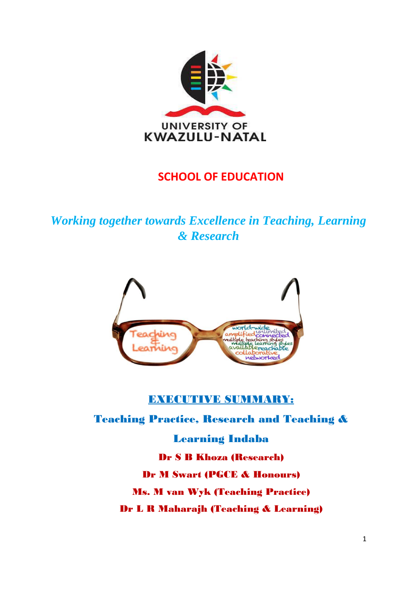

# **SCHOOL OF EDUCATION**

*Working together towards Excellence in Teaching, Learning & Research*



# **EXECUTIVE SUMMARY:**

Teaching Practice, Research and Teaching &

Learning Indaba Dr S B Khoza (Research) Dr M Swart (PGCE & Honours) Ms. M van Wyk (Teaching Practice) Dr L R Maharajh (Teaching & Learning)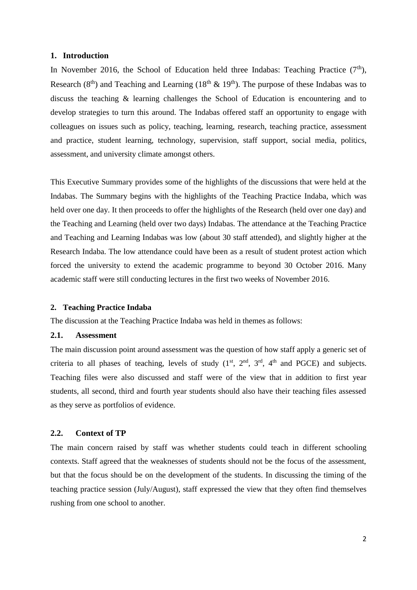#### **1. Introduction**

In November 2016, the School of Education held three Indabas: Teaching Practice  $(7<sup>th</sup>)$ , Research (8<sup>th</sup>) and Teaching and Learning (18<sup>th</sup> & 19<sup>th</sup>). The purpose of these Indabas was to discuss the teaching & learning challenges the School of Education is encountering and to develop strategies to turn this around. The Indabas offered staff an opportunity to engage with colleagues on issues such as policy, teaching, learning, research, teaching practice, assessment and practice, student learning, technology, supervision, staff support, social media, politics, assessment, and university climate amongst others.

This Executive Summary provides some of the highlights of the discussions that were held at the Indabas. The Summary begins with the highlights of the Teaching Practice Indaba, which was held over one day. It then proceeds to offer the highlights of the Research (held over one day) and the Teaching and Learning (held over two days) Indabas. The attendance at the Teaching Practice and Teaching and Learning Indabas was low (about 30 staff attended), and slightly higher at the Research Indaba. The low attendance could have been as a result of student protest action which forced the university to extend the academic programme to beyond 30 October 2016. Many academic staff were still conducting lectures in the first two weeks of November 2016.

### **2. Teaching Practice Indaba**

The discussion at the Teaching Practice Indaba was held in themes as follows:

# **2.1. Assessment**

The main discussion point around assessment was the question of how staff apply a generic set of criteria to all phases of teaching, levels of study  $(1<sup>st</sup>, 2<sup>nd</sup>, 3<sup>rd</sup>, 4<sup>th</sup>$  and PGCE) and subjects. Teaching files were also discussed and staff were of the view that in addition to first year students, all second, third and fourth year students should also have their teaching files assessed as they serve as portfolios of evidence.

# **2.2. Context of TP**

The main concern raised by staff was whether students could teach in different schooling contexts. Staff agreed that the weaknesses of students should not be the focus of the assessment, but that the focus should be on the development of the students. In discussing the timing of the teaching practice session (July/August), staff expressed the view that they often find themselves rushing from one school to another.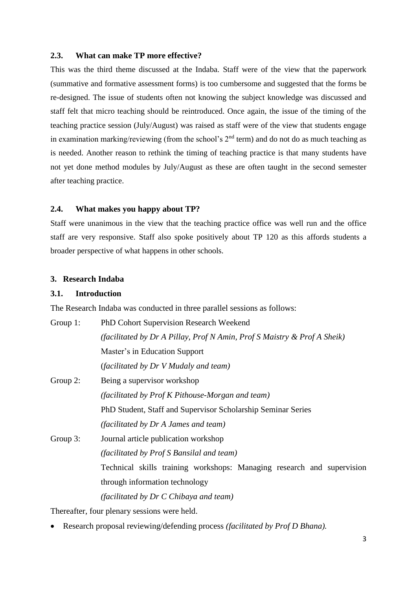## **2.3. What can make TP more effective?**

This was the third theme discussed at the Indaba. Staff were of the view that the paperwork (summative and formative assessment forms) is too cumbersome and suggested that the forms be re-designed. The issue of students often not knowing the subject knowledge was discussed and staff felt that micro teaching should be reintroduced. Once again, the issue of the timing of the teaching practice session (July/August) was raised as staff were of the view that students engage in examination marking/reviewing (from the school's  $2<sup>nd</sup>$  term) and do not do as much teaching as is needed. Another reason to rethink the timing of teaching practice is that many students have not yet done method modules by July/August as these are often taught in the second semester after teaching practice.

## **2.4. What makes you happy about TP?**

Staff were unanimous in the view that the teaching practice office was well run and the office staff are very responsive. Staff also spoke positively about TP 120 as this affords students a broader perspective of what happens in other schools.

## **3. Research Indaba**

# **3.1. Introduction**

The Research Indaba was conducted in three parallel sessions as follows:

| Group $1$ : | PhD Cohort Supervision Research Weekend                                  |
|-------------|--------------------------------------------------------------------------|
|             | (facilitated by Dr A Pillay, Prof N Amin, Prof S Maistry & Prof A Sheik) |
|             | Master's in Education Support                                            |
|             | (facilitated by Dr V Mudaly and team)                                    |
| Group 2:    | Being a supervisor workshop                                              |
|             | (facilitated by Prof K Pithouse-Morgan and team)                         |
|             | PhD Student, Staff and Supervisor Scholarship Seminar Series             |
|             | (facilitated by Dr A James and team)                                     |
| Group 3:    | Journal article publication workshop                                     |
|             | (facilitated by Prof S Bansilal and team)                                |
|             | Technical skills training workshops: Managing research and supervision   |
|             | through information technology                                           |
|             | (facilitated by Dr C Chibaya and team)                                   |

Thereafter, four plenary sessions were held.

Research proposal reviewing/defending process *(facilitated by Prof D Bhana).*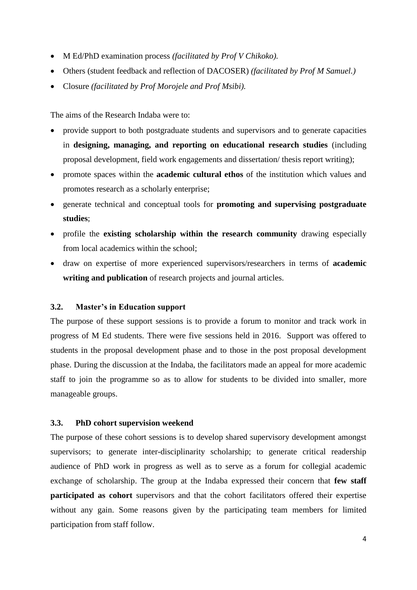- M Ed/PhD examination process *(facilitated by Prof V Chikoko).*
- Others (student feedback and reflection of DACOSER) *(facilitated by Prof M Samuel.)*
- Closure *(facilitated by Prof Morojele and Prof Msibi).*

The aims of the Research Indaba were to:

- provide support to both postgraduate students and supervisors and to generate capacities in **designing, managing, and reporting on educational research studies** (including proposal development, field work engagements and dissertation/ thesis report writing);
- promote spaces within the **academic cultural ethos** of the institution which values and promotes research as a scholarly enterprise;
- generate technical and conceptual tools for **promoting and supervising postgraduate studies**;
- profile the **existing scholarship within the research community** drawing especially from local academics within the school;
- draw on expertise of more experienced supervisors/researchers in terms of **academic writing and publication** of research projects and journal articles.

# **3.2. Master's in Education support**

The purpose of these support sessions is to provide a forum to monitor and track work in progress of M Ed students. There were five sessions held in 2016. Support was offered to students in the proposal development phase and to those in the post proposal development phase. During the discussion at the Indaba, the facilitators made an appeal for more academic staff to join the programme so as to allow for students to be divided into smaller, more manageable groups.

#### **3.3. PhD cohort supervision weekend**

The purpose of these cohort sessions is to develop shared supervisory development amongst supervisors; to generate inter-disciplinarity scholarship; to generate critical readership audience of PhD work in progress as well as to serve as a forum for collegial academic exchange of scholarship. The group at the Indaba expressed their concern that **few staff participated as cohort** supervisors and that the cohort facilitators offered their expertise without any gain. Some reasons given by the participating team members for limited participation from staff follow.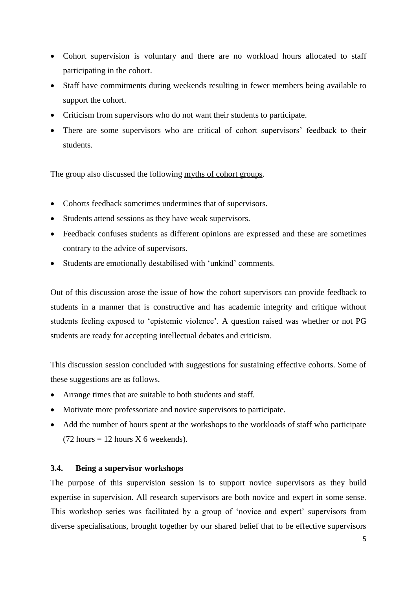- Cohort supervision is voluntary and there are no workload hours allocated to staff participating in the cohort.
- Staff have commitments during weekends resulting in fewer members being available to support the cohort.
- Criticism from supervisors who do not want their students to participate.
- There are some supervisors who are critical of cohort supervisors' feedback to their students.

The group also discussed the following myths of cohort groups.

- Cohorts feedback sometimes undermines that of supervisors.
- Students attend sessions as they have weak supervisors.
- Feedback confuses students as different opinions are expressed and these are sometimes contrary to the advice of supervisors.
- Students are emotionally destabilised with 'unkind' comments.

Out of this discussion arose the issue of how the cohort supervisors can provide feedback to students in a manner that is constructive and has academic integrity and critique without students feeling exposed to 'epistemic violence'. A question raised was whether or not PG students are ready for accepting intellectual debates and criticism.

This discussion session concluded with suggestions for sustaining effective cohorts. Some of these suggestions are as follows.

- Arrange times that are suitable to both students and staff.
- Motivate more professoriate and novice supervisors to participate.
- Add the number of hours spent at the workshops to the workloads of staff who participate  $(72 \text{ hours} = 12 \text{ hours} \times 6 \text{ weeks}$

# **3.4. Being a supervisor workshops**

The purpose of this supervision session is to support novice supervisors as they build expertise in supervision. All research supervisors are both novice and expert in some sense. This workshop series was facilitated by a group of 'novice and expert' supervisors from diverse specialisations, brought together by our shared belief that to be effective supervisors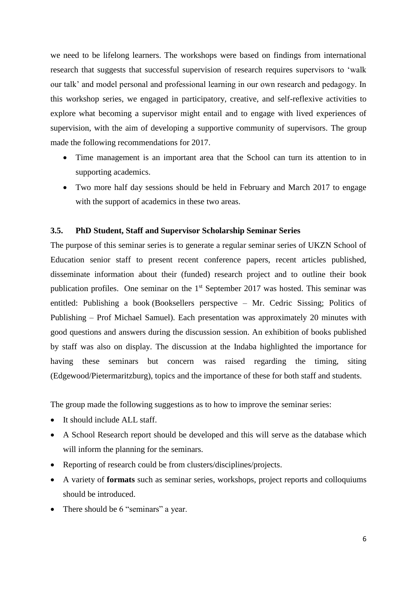we need to be lifelong learners. The workshops were based on findings from international research that suggests that successful supervision of research requires supervisors to 'walk our talk' and model personal and professional learning in our own research and pedagogy. In this workshop series, we engaged in participatory, creative, and self-reflexive activities to explore what becoming a supervisor might entail and to engage with lived experiences of supervision, with the aim of developing a supportive community of supervisors. The group made the following recommendations for 2017.

- Time management is an important area that the School can turn its attention to in supporting academics.
- Two more half day sessions should be held in February and March 2017 to engage with the support of academics in these two areas.

## **3.5. PhD Student, Staff and Supervisor Scholarship Seminar Series**

The purpose of this seminar series is to generate a regular seminar series of UKZN School of Education senior staff to present recent conference papers, recent articles published, disseminate information about their (funded) research project and to outline their book publication profiles. One seminar on the 1st September 2017 was hosted. This seminar was entitled: Publishing a book (Booksellers perspective – Mr. Cedric Sissing; Politics of Publishing – Prof Michael Samuel). Each presentation was approximately 20 minutes with good questions and answers during the discussion session. An exhibition of books published by staff was also on display. The discussion at the Indaba highlighted the importance for having these seminars but concern was raised regarding the timing, siting (Edgewood/Pietermaritzburg), topics and the importance of these for both staff and students.

The group made the following suggestions as to how to improve the seminar series:

- It should include ALL staff.
- A School Research report should be developed and this will serve as the database which will inform the planning for the seminars.
- Reporting of research could be from clusters/disciplines/projects.
- A variety of **formats** such as seminar series, workshops, project reports and colloquiums should be introduced.
- There should be 6 "seminars" a year.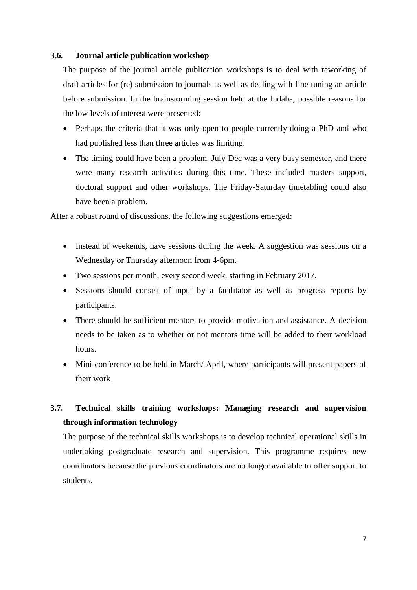## **3.6. Journal article publication workshop**

The purpose of the journal article publication workshops is to deal with reworking of draft articles for (re) submission to journals as well as dealing with fine-tuning an article before submission. In the brainstorming session held at the Indaba, possible reasons for the low levels of interest were presented:

- Perhaps the criteria that it was only open to people currently doing a PhD and who had published less than three articles was limiting.
- The timing could have been a problem. July-Dec was a very busy semester, and there were many research activities during this time. These included masters support, doctoral support and other workshops. The Friday-Saturday timetabling could also have been a problem.

After a robust round of discussions, the following suggestions emerged:

- Instead of weekends, have sessions during the week. A suggestion was sessions on a Wednesday or Thursday afternoon from 4-6pm.
- Two sessions per month, every second week, starting in February 2017.
- Sessions should consist of input by a facilitator as well as progress reports by participants.
- There should be sufficient mentors to provide motivation and assistance. A decision needs to be taken as to whether or not mentors time will be added to their workload hours.
- Mini-conference to be held in March/ April, where participants will present papers of their work

# **3.7. Technical skills training workshops: Managing research and supervision through information technology**

The purpose of the technical skills workshops is to develop technical operational skills in undertaking postgraduate research and supervision. This programme requires new coordinators because the previous coordinators are no longer available to offer support to students.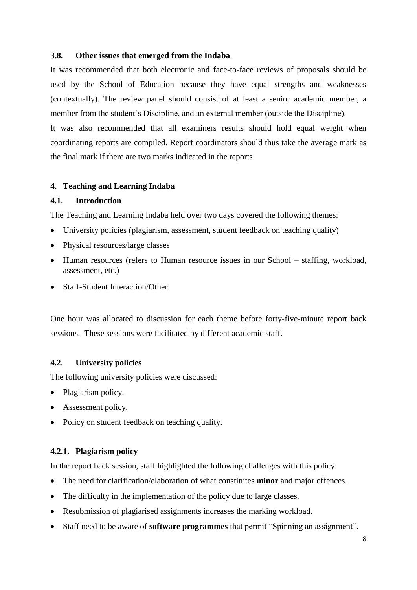# **3.8. Other issues that emerged from the Indaba**

It was recommended that both electronic and face-to-face reviews of proposals should be used by the School of Education because they have equal strengths and weaknesses (contextually). The review panel should consist of at least a senior academic member, a member from the student's Discipline, and an external member (outside the Discipline).

It was also recommended that all examiners results should hold equal weight when coordinating reports are compiled. Report coordinators should thus take the average mark as the final mark if there are two marks indicated in the reports.

# **4. Teaching and Learning Indaba**

# **4.1. Introduction**

The Teaching and Learning Indaba held over two days covered the following themes:

- University policies (plagiarism, assessment, student feedback on teaching quality)
- Physical resources/large classes
- Human resources (refers to Human resource issues in our School staffing, workload, assessment, etc.)
- Staff-Student Interaction/Other.

One hour was allocated to discussion for each theme before forty-five-minute report back sessions. These sessions were facilitated by different academic staff.

# **4.2. University policies**

The following university policies were discussed:

- Plagiarism policy.
- Assessment policy.
- Policy on student feedback on teaching quality.

# **4.2.1. Plagiarism policy**

In the report back session, staff highlighted the following challenges with this policy:

- The need for clarification/elaboration of what constitutes **minor** and major offences.
- The difficulty in the implementation of the policy due to large classes.
- Resubmission of plagiarised assignments increases the marking workload.
- Staff need to be aware of **software programmes** that permit "Spinning an assignment".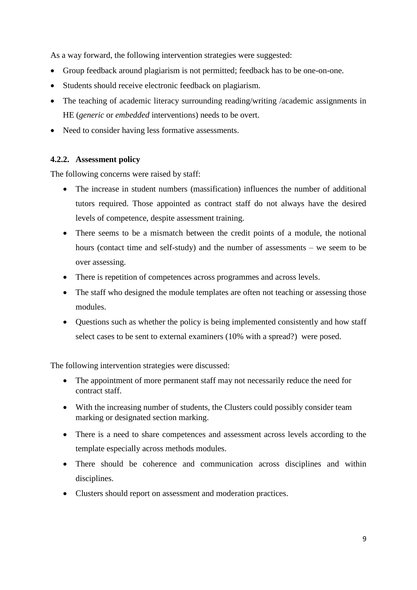As a way forward, the following intervention strategies were suggested:

- Group feedback around plagiarism is not permitted; feedback has to be one-on-one.
- Students should receive electronic feedback on plagiarism.
- The teaching of academic literacy surrounding reading/writing /academic assignments in HE (*generic* or *embedded* interventions) needs to be overt.
- Need to consider having less formative assessments.

# **4.2.2. Assessment policy**

The following concerns were raised by staff:

- The increase in student numbers (massification) influences the number of additional tutors required. Those appointed as contract staff do not always have the desired levels of competence, despite assessment training.
- There seems to be a mismatch between the credit points of a module, the notional hours (contact time and self-study) and the number of assessments – we seem to be over assessing.
- There is repetition of competences across programmes and across levels.
- The staff who designed the module templates are often not teaching or assessing those modules.
- Questions such as whether the policy is being implemented consistently and how staff select cases to be sent to external examiners (10% with a spread?) were posed.

The following intervention strategies were discussed:

- The appointment of more permanent staff may not necessarily reduce the need for contract staff.
- With the increasing number of students, the Clusters could possibly consider team marking or designated section marking.
- There is a need to share competences and assessment across levels according to the template especially across methods modules.
- There should be coherence and communication across disciplines and within disciplines.
- Clusters should report on assessment and moderation practices.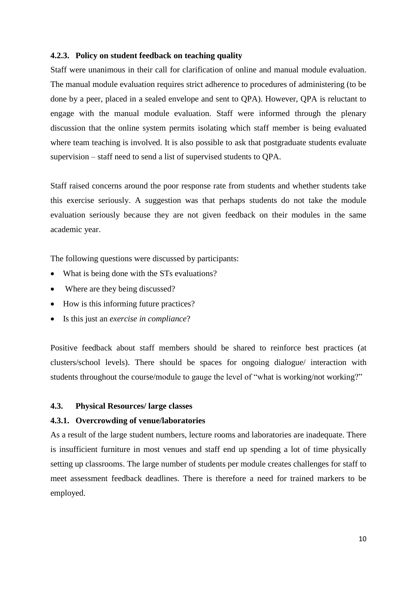## **4.2.3. Policy on student feedback on teaching quality**

Staff were unanimous in their call for clarification of online and manual module evaluation. The manual module evaluation requires strict adherence to procedures of administering (to be done by a peer, placed in a sealed envelope and sent to QPA). However, QPA is reluctant to engage with the manual module evaluation. Staff were informed through the plenary discussion that the online system permits isolating which staff member is being evaluated where team teaching is involved. It is also possible to ask that postgraduate students evaluate supervision – staff need to send a list of supervised students to QPA.

Staff raised concerns around the poor response rate from students and whether students take this exercise seriously. A suggestion was that perhaps students do not take the module evaluation seriously because they are not given feedback on their modules in the same academic year.

The following questions were discussed by participants:

- What is being done with the STs evaluations?
- Where are they being discussed?
- How is this informing future practices?
- Is this just an *exercise in compliance*?

Positive feedback about staff members should be shared to reinforce best practices (at clusters/school levels). There should be spaces for ongoing dialogue/ interaction with students throughout the course/module to gauge the level of "what is working/not working?"

# **4.3. Physical Resources/ large classes**

## **4.3.1. Overcrowding of venue/laboratories**

As a result of the large student numbers, lecture rooms and laboratories are inadequate. There is insufficient furniture in most venues and staff end up spending a lot of time physically setting up classrooms. The large number of students per module creates challenges for staff to meet assessment feedback deadlines. There is therefore a need for trained markers to be employed.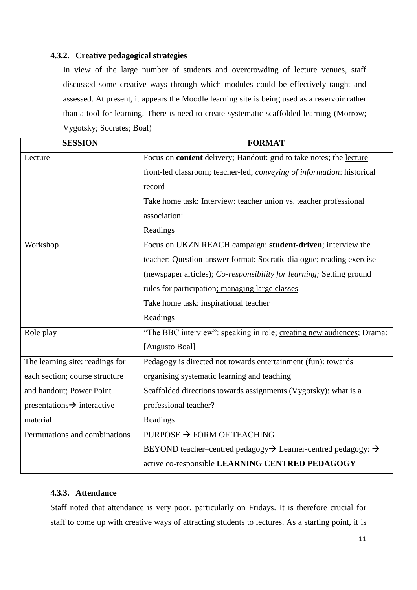# **4.3.2. Creative pedagogical strategies**

In view of the large number of students and overcrowding of lecture venues, staff discussed some creative ways through which modules could be effectively taught and assessed. At present, it appears the Moodle learning site is being used as a reservoir rather than a tool for learning. There is need to create systematic scaffolded learning (Morrow; Vygotsky; Socrates; Boal)

| <b>SESSION</b>                          | <b>FORMAT</b>                                                                         |
|-----------------------------------------|---------------------------------------------------------------------------------------|
| Lecture                                 | Focus on <b>content</b> delivery; Handout: grid to take notes; the lecture            |
|                                         | front-led classroom; teacher-led; conveying of information: historical                |
|                                         | record                                                                                |
|                                         | Take home task: Interview: teacher union vs. teacher professional                     |
|                                         | association:                                                                          |
|                                         | Readings                                                                              |
| Workshop                                | Focus on UKZN REACH campaign: student-driven; interview the                           |
|                                         | teacher: Question-answer format: Socratic dialogue; reading exercise                  |
|                                         | (newspaper articles); Co-responsibility for learning; Setting ground                  |
|                                         | rules for participation; managing large classes                                       |
|                                         | Take home task: inspirational teacher                                                 |
|                                         | Readings                                                                              |
| Role play                               | "The BBC interview": speaking in role; creating new audiences; Drama:                 |
|                                         | [Augusto Boal]                                                                        |
| The learning site: readings for         | Pedagogy is directed not towards entertainment (fun): towards                         |
| each section; course structure          | organising systematic learning and teaching                                           |
| and handout; Power Point                | Scaffolded directions towards assignments (Vygotsky): what is a                       |
| $presentations \rightarrow interactive$ | professional teacher?                                                                 |
| material                                | Readings                                                                              |
| Permutations and combinations           | PURPOSE $\rightarrow$ FORM OF TEACHING                                                |
|                                         | BEYOND teacher-centred pedagogy $\rightarrow$ Learner-centred pedagogy: $\rightarrow$ |
|                                         | active co-responsible LEARNING CENTRED PEDAGOGY                                       |

# **4.3.3. Attendance**

Staff noted that attendance is very poor, particularly on Fridays. It is therefore crucial for staff to come up with creative ways of attracting students to lectures. As a starting point, it is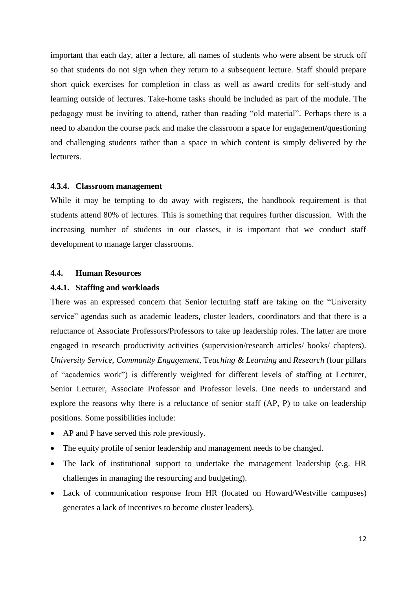important that each day, after a lecture, all names of students who were absent be struck off so that students do not sign when they return to a subsequent lecture. Staff should prepare short quick exercises for completion in class as well as award credits for self-study and learning outside of lectures. Take-home tasks should be included as part of the module. The pedagogy must be inviting to attend, rather than reading "old material". Perhaps there is a need to abandon the course pack and make the classroom a space for engagement/questioning and challenging students rather than a space in which content is simply delivered by the lecturers.

# **4.3.4. Classroom management**

While it may be tempting to do away with registers, the handbook requirement is that students attend 80% of lectures. This is something that requires further discussion. With the increasing number of students in our classes, it is important that we conduct staff development to manage larger classrooms.

# **4.4. Human Resources**

## **4.4.1. Staffing and workloads**

There was an expressed concern that Senior lecturing staff are taking on the "University service" agendas such as academic leaders, cluster leaders, coordinators and that there is a reluctance of Associate Professors/Professors to take up leadership roles. The latter are more engaged in research productivity activities (supervision/research articles/ books/ chapters). *University Service*, *Community Engagement*, T*eaching & Learning* and *Research* (four pillars of "academics work") is differently weighted for different levels of staffing at Lecturer, Senior Lecturer, Associate Professor and Professor levels. One needs to understand and explore the reasons why there is a reluctance of senior staff (AP, P) to take on leadership positions. Some possibilities include:

- AP and P have served this role previously.
- The equity profile of senior leadership and management needs to be changed.
- The lack of institutional support to undertake the management leadership (e.g. HR challenges in managing the resourcing and budgeting).
- Lack of communication response from HR (located on Howard/Westville campuses) generates a lack of incentives to become cluster leaders).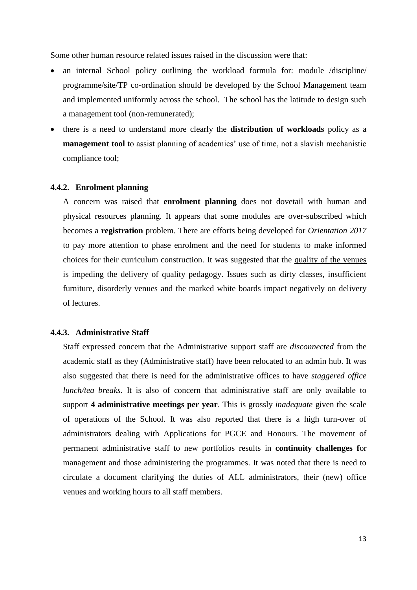Some other human resource related issues raised in the discussion were that:

- an internal School policy outlining the workload formula for: module /discipline/ programme/site/TP co-ordination should be developed by the School Management team and implemented uniformly across the school. The school has the latitude to design such a management tool (non-remunerated);
- there is a need to understand more clearly the **distribution of workloads** policy as a **management tool** to assist planning of academics' use of time, not a slavish mechanistic compliance tool;

# **4.4.2. Enrolment planning**

A concern was raised that **enrolment planning** does not dovetail with human and physical resources planning. It appears that some modules are over-subscribed which becomes a **registration** problem. There are efforts being developed for *Orientation 2017*  to pay more attention to phase enrolment and the need for students to make informed choices for their curriculum construction. It was suggested that the quality of the venues is impeding the delivery of quality pedagogy. Issues such as dirty classes, insufficient furniture, disorderly venues and the marked white boards impact negatively on delivery of lectures.

#### **4.4.3. Administrative Staff**

Staff expressed concern that the Administrative support staff are *disconnected* from the academic staff as they (Administrative staff) have been relocated to an admin hub. It was also suggested that there is need for the administrative offices to have *staggered office lunch/tea breaks.* It is also of concern that administrative staff are only available to support **4 administrative meetings per year**. This is grossly *inadequate* given the scale of operations of the School. It was also reported that there is a high turn-over of administrators dealing with Applications for PGCE and Honours. The movement of permanent administrative staff to new portfolios results in **continuity challenges f**or management and those administering the programmes. It was noted that there is need to circulate a document clarifying the duties of ALL administrators, their (new) office venues and working hours to all staff members.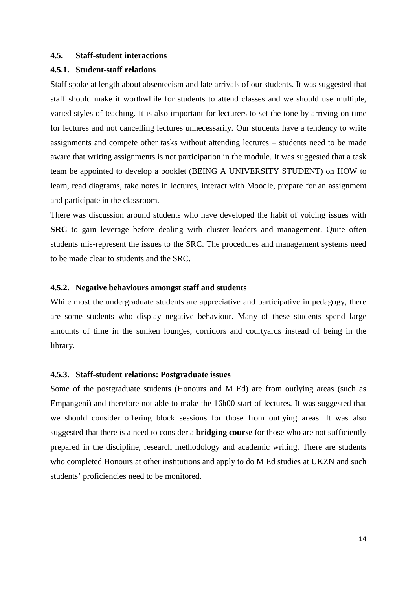#### **4.5. Staff-student interactions**

#### **4.5.1. Student-staff relations**

Staff spoke at length about absenteeism and late arrivals of our students. It was suggested that staff should make it worthwhile for students to attend classes and we should use multiple, varied styles of teaching. It is also important for lecturers to set the tone by arriving on time for lectures and not cancelling lectures unnecessarily. Our students have a tendency to write assignments and compete other tasks without attending lectures – students need to be made aware that writing assignments is not participation in the module. It was suggested that a task team be appointed to develop a booklet (BEING A UNIVERSITY STUDENT) on HOW to learn, read diagrams, take notes in lectures, interact with Moodle, prepare for an assignment and participate in the classroom.

There was discussion around students who have developed the habit of voicing issues with **SRC** to gain leverage before dealing with cluster leaders and management. Quite often students mis-represent the issues to the SRC. The procedures and management systems need to be made clear to students and the SRC.

## **4.5.2. Negative behaviours amongst staff and students**

While most the undergraduate students are appreciative and participative in pedagogy, there are some students who display negative behaviour. Many of these students spend large amounts of time in the sunken lounges, corridors and courtyards instead of being in the library.

#### **4.5.3. Staff-student relations: Postgraduate issues**

Some of the postgraduate students (Honours and M Ed) are from outlying areas (such as Empangeni) and therefore not able to make the 16h00 start of lectures. It was suggested that we should consider offering block sessions for those from outlying areas. It was also suggested that there is a need to consider a **bridging course** for those who are not sufficiently prepared in the discipline, research methodology and academic writing. There are students who completed Honours at other institutions and apply to do M Ed studies at UKZN and such students' proficiencies need to be monitored.